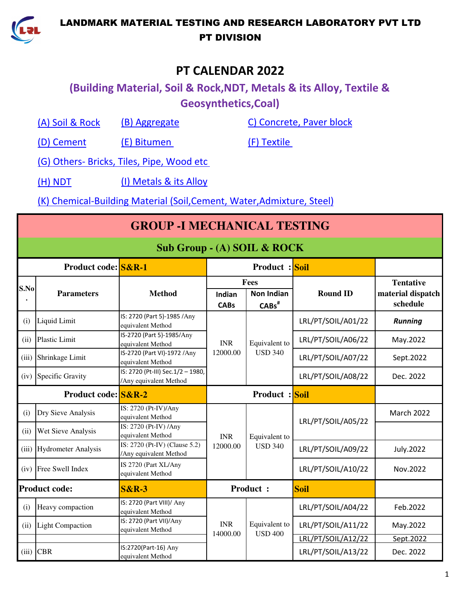

# **PT CALENDAR 2022**

# **(Building Material, Soil & Rock,NDT, Metals & its Alloy, Textile & Geosynthetics,Coal)**

(A) Soil & Rock

(B) Aggregate C) Concrete, Paver block

(D) Cement (E) Bitumen (F) Textile

(G) Others- Bricks, Tiles, Pipe, Wood etc

(H) NDT (I) Metals & its Alloy

(K) Chemical-Building Material (Soil,Cement, Water,Admixture, Steel)

|                     | <b>GROUP - I MECHANICAL TESTING</b> |                                                             |                        |                                          |                                          |                                                   |  |  |  |  |
|---------------------|-------------------------------------|-------------------------------------------------------------|------------------------|------------------------------------------|------------------------------------------|---------------------------------------------------|--|--|--|--|
|                     | Sub Group - (A) SOIL & ROCK         |                                                             |                        |                                          |                                          |                                                   |  |  |  |  |
|                     | Product code: S&R-1                 |                                                             |                        | <b>Product</b> : Soil                    |                                          |                                                   |  |  |  |  |
| S.No                | <b>Parameters</b>                   | <b>Method</b>                                               | Indian<br><b>CABs</b>  | Fees<br><b>Non Indian</b><br>$CABs^{\#}$ | <b>Round ID</b>                          | <b>Tentative</b><br>material dispatch<br>schedule |  |  |  |  |
| (i)                 | Liquid Limit                        | IS: 2720 (Part 5)-1985 /Any<br>equivalent Method            |                        |                                          | LRL/PT/SOIL/A01/22                       | <b>Running</b>                                    |  |  |  |  |
| (ii)                | Plastic Limit                       | IS-2720 (Part 5)-1985/Any<br>equivalent Method              | <b>INR</b>             | Equivalent to<br><b>USD 340</b>          | LRL/PT/SOIL/A06/22                       | May.2022                                          |  |  |  |  |
| (iii)               | Shrinkage Limit                     | IS-2720 (Part VI)-1972 /Any<br>equivalent Method            | 12000.00               |                                          | LRL/PT/SOIL/A07/22                       | Sept.2022                                         |  |  |  |  |
| (iv)                | <b>Specific Gravity</b>             | IS: 2720 (Pt-III) Sec.1/2 - 1980,<br>/Any equivalent Method |                        |                                          | LRL/PT/SOIL/A08/22                       | Dec. 2022                                         |  |  |  |  |
| Product code: S&R-2 |                                     |                                                             | <b>Product:</b> Soil   |                                          |                                          |                                                   |  |  |  |  |
| (i)                 | Dry Sieve Analysis                  | IS: 2720 (Pt-IV)/Any<br>equivalent Method                   |                        |                                          | LRL/PT/SOIL/A05/22                       | March 2022                                        |  |  |  |  |
| (ii)                | Wet Sieve Analysis                  | IS: 2720 (Pt-IV) / Any<br>equivalent Method                 | <b>INR</b>             | Equivalent to                            |                                          |                                                   |  |  |  |  |
| (iii)               | <b>Hydrometer Analysis</b>          | IS: 2720 (Pt-IV) (Clause 5.2)<br>/Any equivalent Method     | 12000.00               | <b>USD 340</b>                           | LRL/PT/SOIL/A09/22                       | July.2022                                         |  |  |  |  |
| (iv)                | Free Swell Index                    | IS 2720 (Part XL/Any<br>equivalent Method                   |                        |                                          | LRL/PT/SOIL/A10/22                       | Nov.2022                                          |  |  |  |  |
|                     | <b>Product code:</b>                | <b>S&amp;R-3</b>                                            |                        | <b>Product:</b>                          | <b>Soil</b>                              |                                                   |  |  |  |  |
| (i)                 | Heavy compaction                    | IS: 2720 (Part VIII)/ Any<br>equivalent Method              |                        |                                          | LRL/PT/SOIL/A04/22                       | Feb.2022                                          |  |  |  |  |
| (ii)                | <b>Light Compaction</b>             | IS: 2720 (Part VII)/Any<br>equivalent Method                | <b>INR</b><br>14000.00 | Equivalent to<br><b>USD 400</b>          | LRL/PT/SOIL/A11/22                       | May.2022                                          |  |  |  |  |
| (iii)               | <b>CBR</b>                          | IS:2720(Part-16) Any<br>equivalent Method                   |                        |                                          | LRL/PT/SOIL/A12/22<br>LRL/PT/SOIL/A13/22 | Sept. 2022<br>Dec. 2022                           |  |  |  |  |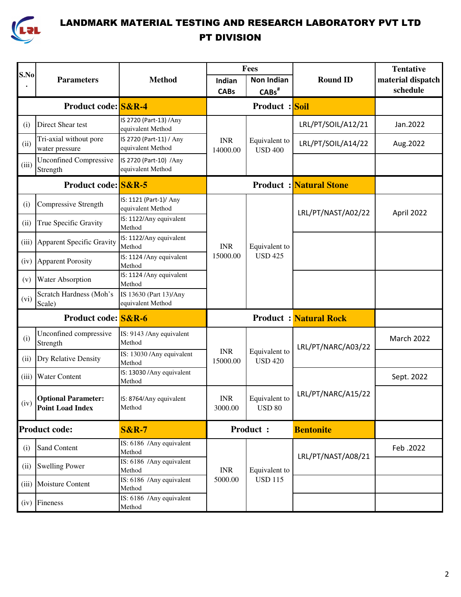

|       |                                                       |                                              |                              | Fees                             |                               | <b>Tentative</b>              |
|-------|-------------------------------------------------------|----------------------------------------------|------------------------------|----------------------------------|-------------------------------|-------------------------------|
| S.No  | <b>Parameters</b>                                     | <b>Method</b>                                | Indian<br><b>CABs</b>        | <b>Non Indian</b><br>$CABs^{\#}$ | <b>Round ID</b>               | material dispatch<br>schedule |
|       | <b>Product code: S&amp;R-4</b>                        |                                              |                              | <b>Product:</b> Soil             |                               |                               |
| (i)   | Direct Shear test                                     | IS 2720 (Part-13) /Any<br>equivalent Method  |                              |                                  | LRL/PT/SOIL/A12/21            | Jan.2022                      |
| (ii)  | Tri-axial without pore<br>water pressure              | IS 2720 (Part-11) / Any<br>equivalent Method | <b>INR</b><br>14000.00       | Equivalent to<br><b>USD 400</b>  | LRL/PT/SOIL/A14/22            | Aug.2022                      |
| (iii) | <b>Unconfined Compressive</b><br>Strength             | IS 2720 (Part-10) /Any<br>equivalent Method  |                              |                                  |                               |                               |
|       | Product code: S&R-5                                   |                                              |                              |                                  | <b>Product: Natural Stone</b> |                               |
| (i)   | Compressive Strength                                  | IS: 1121 (Part-1)/ Any<br>equivalent Method  |                              |                                  | LRL/PT/NAST/A02/22            | April 2022                    |
| (ii)  | True Specific Gravity                                 | IS: 1122/Any equivalent<br>Method            | <b>INR</b><br>15000.00       |                                  |                               |                               |
| (iii) | Apparent Specific Gravity                             | IS: 1122/Any equivalent<br>Method            |                              | Equivalent to<br><b>USD 425</b>  |                               |                               |
| (iv)  | <b>Apparent Porosity</b>                              | IS: 1124 / Any equivalent<br>Method          |                              |                                  |                               |                               |
| (v)   | Water Absorption                                      | IS: 1124 / Any equivalent<br>Method          |                              |                                  |                               |                               |
| (vi)  | Scratch Hardness (Moh's<br>Scale)                     | IS 13630 (Part 13)/Any<br>equivalent Method  |                              |                                  |                               |                               |
|       | <b>Product code:</b> S&R-6                            |                                              | <b>Product:</b> Natural Rock |                                  |                               |                               |
| (i)   | Unconfined compressive<br>Strength                    | IS: 9143 /Any equivalent<br>Method           |                              |                                  | LRL/PT/NARC/A03/22            | March 2022                    |
| (ii)  | Dry Relative Density                                  | IS: 13030 / Any equivalent<br>Method         | <b>INR</b><br>15000.00       | Equivalent to<br><b>USD 420</b>  |                               |                               |
| (iii) | <b>Water Content</b>                                  | IS: 13030 / Any equivalent<br>Method         |                              |                                  |                               | Sept. 2022                    |
| (iv)  | <b>Optional Parameter:</b><br><b>Point Load Index</b> | IS: 8764/Any equivalent<br>Method            | <b>INR</b><br>3000.00        | Equivalent to<br><b>USD 80</b>   | LRL/PT/NARC/A15/22            |                               |
|       | <b>Product code:</b>                                  | <b>S&amp;R-7</b>                             |                              | <b>Product:</b>                  | <b>Bentonite</b>              |                               |
| (i)   | <b>Sand Content</b>                                   | IS: 6186 /Any equivalent<br>Method           |                              |                                  | LRL/PT/NAST/A08/21            | Feb. 2022                     |
| (ii)  | <b>Swelling Power</b>                                 | IS: 6186 /Any equivalent<br>Method           | <b>INR</b>                   | Equivalent to                    |                               |                               |
| (iii) | Moisture Content                                      | IS: 6186 /Any equivalent<br>Method           | 5000.00                      | <b>USD 115</b>                   |                               |                               |
|       | (iv) Fineness                                         | IS: 6186 /Any equivalent<br>Method           |                              |                                  |                               |                               |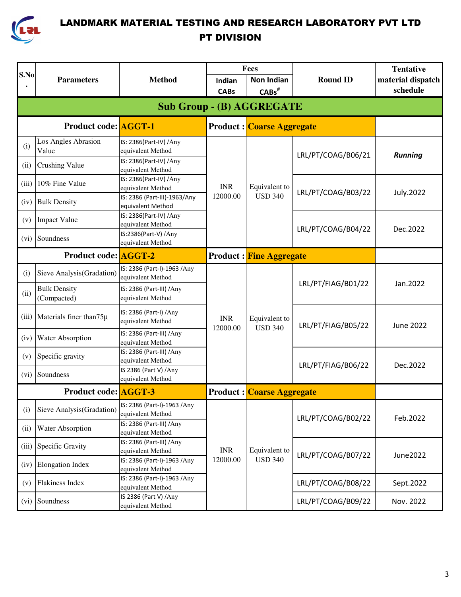

|                                  |                                    |                                                   |                        | Fees                             |                    | <b>Tentative</b>  |  |  |  |
|----------------------------------|------------------------------------|---------------------------------------------------|------------------------|----------------------------------|--------------------|-------------------|--|--|--|
| S.No                             | <b>Parameters</b>                  | <b>Method</b>                                     | Indian                 | <b>Non Indian</b>                | <b>Round ID</b>    | material dispatch |  |  |  |
|                                  |                                    |                                                   | <b>CABs</b>            | $CABs^{\#}$                      |                    | schedule          |  |  |  |
| <b>Sub Group - (B) AGGREGATE</b> |                                    |                                                   |                        |                                  |                    |                   |  |  |  |
|                                  | <b>Product code: AGGT-1</b>        |                                                   |                        | <b>Product: Coarse Aggregate</b> |                    |                   |  |  |  |
| (i)                              | Los Angles Abrasion<br>Value       | IS: 2386(Part-IV) / Any<br>equivalent Method      |                        |                                  | LRL/PT/COAG/B06/21 | <b>Running</b>    |  |  |  |
| (ii)                             | <b>Crushing Value</b>              | IS: 2386(Part-IV) / Any<br>equivalent Method      |                        |                                  |                    |                   |  |  |  |
| (iii)                            | 10% Fine Value                     | IS: 2386(Part-IV) / Any<br>equivalent Method      | <b>INR</b>             | Equivalent to                    | LRL/PT/COAG/B03/22 | <b>July.2022</b>  |  |  |  |
| (iv)                             | <b>Bulk Density</b>                | IS: 2386 (Part-III)-1963/Any<br>equivalent Method | 12000.00               | <b>USD 340</b>                   |                    |                   |  |  |  |
| (v)                              | <b>Impact Value</b>                | IS: 2386(Part-IV) / Any<br>equivalent Method      |                        |                                  | LRL/PT/COAG/B04/22 | Dec.2022          |  |  |  |
| (vi)                             | Soundness                          | IS:2386(Part-V) /Any<br>equivalent Method         |                        |                                  |                    |                   |  |  |  |
|                                  | <b>Product code: AGGT-2</b>        |                                                   |                        | <b>Product : Fine Aggregate</b>  |                    |                   |  |  |  |
| (i)                              | Sieve Analysis(Gradation)          | IS: 2386 (Part-I)-1963 /Any<br>equivalent Method  |                        | Equivalent to<br><b>USD 340</b>  | LRL/PT/FIAG/B01/22 | Jan.2022          |  |  |  |
| (ii)                             | <b>Bulk Density</b><br>(Compacted) | IS: 2386 (Part-III) /Any<br>equivalent Method     |                        |                                  |                    |                   |  |  |  |
| (iii)                            | Materials finer than75µ            | IS: 2386 (Part-I) / Any<br>equivalent Method      | <b>INR</b><br>12000.00 |                                  | LRL/PT/FIAG/B05/22 | <b>June 2022</b>  |  |  |  |
| (iv)                             | Water Absorption                   | IS: 2386 (Part-III) /Any<br>equivalent Method     |                        |                                  |                    |                   |  |  |  |
| (v)                              | Specific gravity                   | IS: 2386 (Part-III) /Any<br>equivalent Method     |                        |                                  | LRL/PT/FIAG/B06/22 | Dec.2022          |  |  |  |
| (vi)                             | Soundness                          | IS 2386 (Part V) /Any<br>equivalent Method        |                        |                                  |                    |                   |  |  |  |
|                                  | <b>Product code: AGGT-3</b>        |                                                   |                        | <b>Product:</b> Coarse Aggregate |                    |                   |  |  |  |
| (i)                              | Sieve Analysis(Gradation)          | IS: 2386 (Part-I)-1963 /Any<br>equivalent Method  |                        |                                  | LRL/PT/COAG/B02/22 | Feb.2022          |  |  |  |
| (ii)                             | <b>Water Absorption</b>            | IS: 2386 (Part-III) /Any<br>equivalent Method     |                        |                                  |                    |                   |  |  |  |
| (iii)                            | Specific Gravity                   | IS: 2386 (Part-III) /Any<br>equivalent Method     | <b>INR</b>             | Equivalent to                    | LRL/PT/COAG/B07/22 | June2022          |  |  |  |
| (iv)                             | <b>Elongation Index</b>            | IS: 2386 (Part-I)-1963 / Any<br>equivalent Method | 12000.00               | <b>USD 340</b>                   |                    |                   |  |  |  |
| (v)                              | <b>Flakiness Index</b>             | IS: 2386 (Part-I)-1963 /Any<br>equivalent Method  |                        |                                  | LRL/PT/COAG/B08/22 | Sept.2022         |  |  |  |
| (vi)                             | Soundness                          | IS 2386 (Part V) /Any<br>equivalent Method        |                        |                                  | LRL/PT/COAG/B09/22 | Nov. 2022         |  |  |  |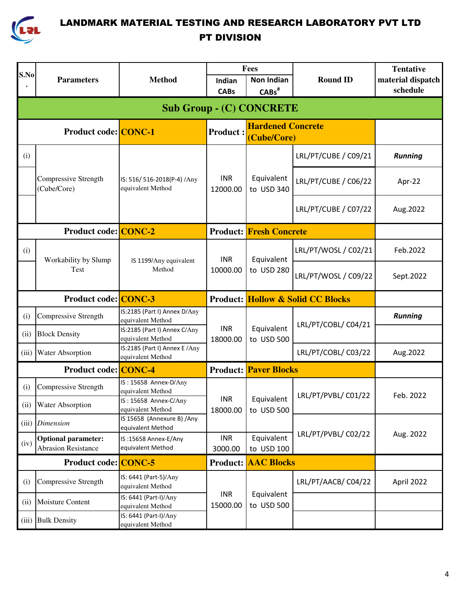

|       |                                                          |                                                                     |                        | Fees                                         |                      | <b>Tentative</b>  |
|-------|----------------------------------------------------------|---------------------------------------------------------------------|------------------------|----------------------------------------------|----------------------|-------------------|
| S.No  | <b>Parameters</b>                                        | <b>Method</b>                                                       | Indian                 | <b>Non Indian</b>                            | <b>Round ID</b>      | material dispatch |
|       |                                                          |                                                                     | <b>CABs</b>            | $CABs$ <sup>#</sup>                          |                      | schedule          |
|       |                                                          |                                                                     |                        | <b>Sub Group - (C) CONCRETE</b>              |                      |                   |
|       | <b>Product code: CONC-1</b>                              |                                                                     | <b>Product:</b>        | <b>Hardened Concrete</b><br>(Cube/Core)      |                      |                   |
| (i)   |                                                          |                                                                     |                        |                                              | LRL/PT/CUBE / C09/21 | <b>Running</b>    |
|       | Compressive Strength<br>(Cube/Core)                      | IS: 516/ 516-2018(P-4) /Any<br>equivalent Method                    | <b>INR</b><br>12000.00 | Equivalent<br>to USD 340                     | LRL/PT/CUBE / C06/22 | Apr-22            |
|       |                                                          |                                                                     |                        |                                              | LRL/PT/CUBE / C07/22 | Aug.2022          |
|       | <b>Product code: CONC-2</b>                              |                                                                     |                        | <b>Product: Fresh Concrete</b>               |                      |                   |
| (i)   | Workability by Slump                                     | IS 1199/Any equivalent                                              | <b>INR</b><br>10000.00 | Equivalent                                   | LRL/PT/WOSL / C02/21 | Feb.2022          |
|       | Test                                                     | Method                                                              |                        | to USD 280                                   | LRL/PT/WOSL / C09/22 | Sept.2022         |
|       | <b>Product code: CONC-3</b>                              |                                                                     |                        | <b>Product: Hollow &amp; Solid CC Blocks</b> |                      |                   |
| (i)   | Compressive Strength                                     | IS:2185 (Part I) Annex D/Any<br>equivalent Method                   |                        |                                              | LRL/PT/COBL/ C04/21  | <b>Running</b>    |
| (ii)  | <b>Block Density</b>                                     | IS:2185 (Part I) Annex C/Any<br>equivalent Method                   | <b>INR</b><br>18000.00 | Equivalent<br>to USD 500                     |                      |                   |
| (iii) | Water Absorption                                         | IS:2185 (Part I) Annex E /Any<br>equivalent Method                  |                        |                                              | LRL/PT/COBL/ C03/22  | Aug.2022          |
|       | <b>Product code: CONC-4</b>                              |                                                                     |                        | <b>Product: Paver Blocks</b>                 |                      |                   |
| (i)   | Compressive Strength                                     | IS: 15658 Annex-D/Any<br>equivalent Method<br>IS: 15658 Annex-C/Any | <b>INR</b>             | Equivalent                                   | LRL/PT/PVBL/ C01/22  | Feb. 2022         |
| (ii)  | <b>Water Absorption</b>                                  | equivalent Method                                                   | 18000.00               | to USD 500                                   |                      |                   |
| (iii) | <b>Dimension</b>                                         | IS 15658 (Annexure B) / Any<br>equivalent Method                    |                        |                                              |                      |                   |
| (iv)  | <b>Optional parameter:</b><br><b>Abrasion Resistance</b> | IS:15658 Annex-E/Any<br>equivalent Method                           | <b>INR</b><br>3000.00  | Equivalent<br>to USD 100                     | LRL/PT/PVBL/ C02/22  | Aug. 2022         |
|       | <b>Product code: CONC-5</b>                              |                                                                     | <b>Product:</b>        | <b>AAC Blocks</b>                            |                      |                   |
| (i)   | Compressive Strength                                     | IS: 6441 (Part-5)/Any<br>equivalent Method                          |                        |                                              | LRL/PT/AACB/C04/22   | April 2022        |
| (ii)  | Moisture Content                                         | IS: 6441 (Part-I)/Any<br>equivalent Method                          | <b>INR</b><br>15000.00 | Equivalent<br>to USD 500                     |                      |                   |
| (iii) | <b>Bulk Density</b>                                      | IS: 6441 (Part-I)/Any<br>equivalent Method                          |                        |                                              |                      |                   |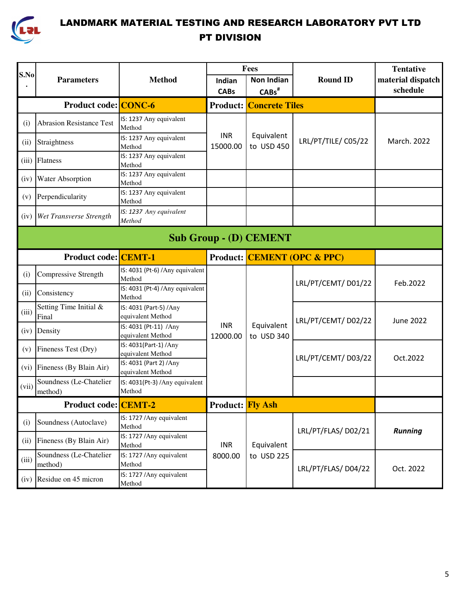

|       |                                    |                                              | Fees                    |                                |                                        | <b>Tentative</b>  |  |  |  |
|-------|------------------------------------|----------------------------------------------|-------------------------|--------------------------------|----------------------------------------|-------------------|--|--|--|
| S.No  | <b>Parameters</b>                  | <b>Method</b>                                | Indian                  | <b>Non Indian</b>              | <b>Round ID</b>                        | material dispatch |  |  |  |
|       |                                    |                                              | <b>CABs</b>             | $CABs^{\#}$                    |                                        | schedule          |  |  |  |
|       | <b>Product code: CONC-6</b>        |                                              |                         | <b>Product: Concrete Tiles</b> |                                        |                   |  |  |  |
| (i)   | <b>Abrasion Resistance Test</b>    | IS: 1237 Any equivalent<br>Method            |                         |                                |                                        |                   |  |  |  |
| (ii)  | Straightness                       | IS: 1237 Any equivalent<br>Method            | <b>INR</b><br>15000.00  | Equivalent<br>to USD 450       | LRL/PT/TILE/ C05/22                    | March. 2022       |  |  |  |
| (iii) | Flatness                           | IS: 1237 Any equivalent<br>Method            |                         |                                |                                        |                   |  |  |  |
| (iv)  | <b>Water Absorption</b>            | IS: 1237 Any equivalent<br>Method            |                         |                                |                                        |                   |  |  |  |
| (v)   | Perpendicularity                   | IS: 1237 Any equivalent<br>Method            |                         |                                |                                        |                   |  |  |  |
| (iv)  | Wet Transverse Strength            | IS: 1237 Any equivalent<br>Method            |                         |                                |                                        |                   |  |  |  |
|       | <b>Sub Group - (D) CEMENT</b>      |                                              |                         |                                |                                        |                   |  |  |  |
|       | <b>Product code: CEMT-1</b>        |                                              |                         |                                | <b>Product: CEMENT (OPC &amp; PPC)</b> |                   |  |  |  |
| (i)   | Compressive Strength               | IS: 4031 (Pt-6) / Any equivalent<br>Method   |                         |                                | LRL/PT/CEMT/D01/22                     | Feb.2022          |  |  |  |
| (ii)  | Consistency                        | IS: 4031 (Pt-4) / Any equivalent<br>Method   |                         |                                |                                        |                   |  |  |  |
| (iii) | Setting Time Initial &<br>Final    | IS: 4031 (Part-5) / Any<br>equivalent Method |                         |                                | LRL/PT/CEMT/D02/22                     | <b>June 2022</b>  |  |  |  |
| (iv)  | Density                            | IS: 4031 (Pt-11) /Any<br>equivalent Method   | <b>INR</b><br>12000.00  | Equivalent<br>to USD 340       |                                        |                   |  |  |  |
| (v)   | Fineness Test (Dry)                | IS: 4031(Part-1) / Any<br>equivalent Method  |                         |                                | LRL/PT/CEMT/D03/22                     | Oct.2022          |  |  |  |
| (vi)  | Fineness (By Blain Air)            | IS: 4031 (Part 2) / Any<br>equivalent Method |                         |                                |                                        |                   |  |  |  |
| (vii) | Soundness (Le-Chatelier<br>method) | IS: 4031(Pt-3) /Any equivalent<br>Method     |                         |                                |                                        |                   |  |  |  |
|       | <b>Product code: CEMT-2</b>        |                                              | <b>Product:</b> Fly Ash |                                |                                        |                   |  |  |  |
| (i)   | Soundness (Autoclave)              | IS: 1727 / Any equivalent<br>Method          |                         |                                | LRL/PT/FLAS/D02/21                     | <b>Running</b>    |  |  |  |
| (ii)  | Fineness (By Blain Air)            | IS: 1727 / Any equivalent<br>Method          | <b>INR</b><br>8000.00   | Equivalent                     |                                        |                   |  |  |  |
| (iii) | Soundness (Le-Chatelier<br>method) | IS: 1727 / Any equivalent<br>Method          |                         | to USD 225                     | LRL/PT/FLAS/D04/22                     | Oct. 2022         |  |  |  |
| (iv)  | Residue on 45 micron               | IS: 1727 / Any equivalent<br>Method          |                         |                                |                                        |                   |  |  |  |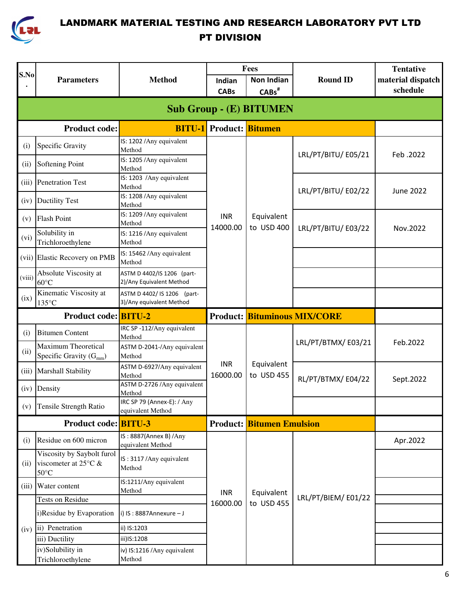

| S.No   |                                                                                |                                                         |                                | Fees                             |                                     | <b>Tentative</b>  |  |  |  |  |
|--------|--------------------------------------------------------------------------------|---------------------------------------------------------|--------------------------------|----------------------------------|-------------------------------------|-------------------|--|--|--|--|
|        | <b>Parameters</b>                                                              | <b>Method</b>                                           | Indian                         | <b>Non Indian</b>                | <b>Round ID</b>                     | material dispatch |  |  |  |  |
|        |                                                                                |                                                         | <b>CABs</b>                    | $CABs^*$                         |                                     | schedule          |  |  |  |  |
|        | <b>Sub Group - (E) BITUMEN</b>                                                 |                                                         |                                |                                  |                                     |                   |  |  |  |  |
|        | <b>Product code:</b>                                                           |                                                         | <b>BITU-1</b> Product: Bitumen |                                  |                                     |                   |  |  |  |  |
| (i)    | Specific Gravity                                                               | IS: 1202 / Any equivalent<br>Method                     |                                |                                  | LRL/PT/BITU/E05/21                  | Feb. 2022         |  |  |  |  |
| (ii)   | Softening Point                                                                | IS: 1205 / Any equivalent<br>Method                     |                                |                                  |                                     |                   |  |  |  |  |
|        | (iii) Penetration Test                                                         | IS: 1203 / Any equivalent<br>Method                     |                                |                                  | LRL/PT/BITU/E02/22                  | <b>June 2022</b>  |  |  |  |  |
| (iv)   | <b>Ductility Test</b>                                                          | IS: 1208 / Any equivalent<br>Method                     |                                |                                  |                                     |                   |  |  |  |  |
| (v)    | <b>Flash Point</b>                                                             | IS: 1209 / Any equivalent<br>Method                     | <b>INR</b><br>14000.00         | Equivalent<br>to USD 400         | LRL/PT/BITU/E03/22                  | Nov.2022          |  |  |  |  |
| (vi)   | Solubility in<br>Trichloroethylene                                             | IS: 1216 / Any equivalent<br>Method                     |                                |                                  |                                     |                   |  |  |  |  |
|        | (vii) Elastic Recovery on PMB                                                  | IS: 15462 / Any equivalent<br>Method                    |                                |                                  |                                     |                   |  |  |  |  |
| (viii) | Absolute Viscosity at<br>$60^{\circ}$ C                                        | ASTM D 4402/IS 1206 (part-<br>2)/Any Equivalent Method  |                                |                                  |                                     |                   |  |  |  |  |
| (ix)   | Kinematic Viscosity at<br>135°C                                                | ASTM D 4402/ IS 1206 (part-<br>3)/Any equivalent Method |                                |                                  |                                     |                   |  |  |  |  |
|        | <b>Product code: BITU-2</b>                                                    |                                                         |                                |                                  | <b>Product: Bituminous MIX/CORE</b> |                   |  |  |  |  |
| (i)    | <b>Bitumen Content</b>                                                         | IRC SP-112/Any equivalent<br>Method                     |                                |                                  |                                     |                   |  |  |  |  |
| (ii)   | <b>Maximum Theoretical</b><br>Specific Gravity $(G_{mm})$                      | ASTM D-2041-/Any equivalent<br>Method                   |                                |                                  | LRL/PT/BTMX/E03/21                  | Feb.2022          |  |  |  |  |
| (iii)  | Marshall Stability                                                             | ASTM D-6927/Any equivalent<br>Method                    | <b>INR</b><br>16000.00         | Equivalent<br>to USD 455         | RL/PT/BTMX/E04/22                   | Sept.2022         |  |  |  |  |
| (iv)   | Density                                                                        | ASTM D-2726 / Any equivalent<br>Method                  |                                |                                  |                                     |                   |  |  |  |  |
| (v)    | <b>Tensile Strength Ratio</b>                                                  | IRC SP 79 (Annex-E): / Any<br>equivalent Method         |                                |                                  |                                     |                   |  |  |  |  |
|        | <b>Product code: BITU-3</b>                                                    |                                                         |                                | <b>Product: Bitumen Emulsion</b> |                                     |                   |  |  |  |  |
| (i)    | Residue on 600 micron                                                          | IS: 8887(Annex B) / Any<br>equivalent Method            |                                |                                  |                                     | Apr.2022          |  |  |  |  |
| (ii)   | Viscosity by Saybolt furol<br>viscometer at 25 $\degree$ C &<br>$50^{\circ}$ C | IS: 3117 / Any equivalent<br>Method                     |                                |                                  |                                     |                   |  |  |  |  |
|        | (iii) Water content                                                            | IS:1211/Any equivalent<br>Method                        | <b>INR</b>                     | Equivalent                       |                                     |                   |  |  |  |  |
|        | Tests on Residue                                                               |                                                         | 16000.00                       | to USD 455                       | LRL/PT/BIEM/E01/22                  |                   |  |  |  |  |
|        | i)Residue by Evaporation                                                       | i) IS: $8887$ Annexure - J                              |                                |                                  |                                     |                   |  |  |  |  |
| (iv)   | ii) Penetration                                                                | ii) IS:1203                                             |                                |                                  |                                     |                   |  |  |  |  |
|        | iii) Ductility                                                                 | iii)IS:1208                                             |                                |                                  |                                     |                   |  |  |  |  |
|        | iv)Solubility in<br>Trichloroethylene                                          | iv) IS:1216 / Any equivalent<br>Method                  |                                |                                  |                                     |                   |  |  |  |  |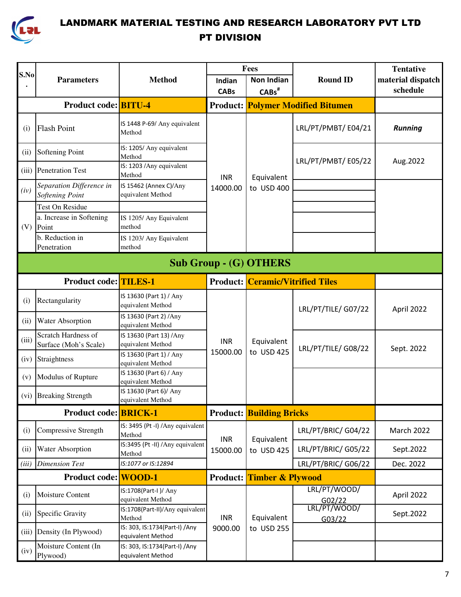

| S.No  |                                              |                                                     |                               | Fees                                    |                                          | <b>Tentative</b>  |
|-------|----------------------------------------------|-----------------------------------------------------|-------------------------------|-----------------------------------------|------------------------------------------|-------------------|
|       | <b>Parameters</b>                            | <b>Method</b>                                       | Indian                        | <b>Non Indian</b>                       | <b>Round ID</b>                          | material dispatch |
|       |                                              |                                                     | <b>CABs</b>                   | $CABs^{\#}$                             |                                          | schedule          |
|       | <b>Product code: BITU-4</b>                  |                                                     |                               |                                         | <b>Product: Polymer Modified Bitumen</b> |                   |
| (i)   | <b>Flash Point</b>                           | IS 1448 P-69/ Any equivalent<br>Method              |                               |                                         | LRL/PT/PMBT/E04/21                       | <b>Running</b>    |
| (ii)  | Softening Point                              | IS: 1205/ Any equivalent<br>Method                  |                               |                                         | LRL/PT/PMBT/E05/22                       | Aug. 2022         |
| (iii) | <b>Penetration Test</b>                      | IS: 1203 / Any equivalent<br>Method                 | <b>INR</b>                    | Equivalent                              |                                          |                   |
| (iv)  | Separation Difference in<br>Softening Point  | IS 15462 (Annex C)/Any<br>equivalent Method         | 14000.00                      | to USD 400                              |                                          |                   |
|       | <b>Test On Residue</b>                       |                                                     |                               |                                         |                                          |                   |
| (V)   | a. Increase in Softening<br>Point            | IS 1205/ Any Equivalent<br>method                   |                               |                                         |                                          |                   |
|       | b. Reduction in<br>Penetration               | IS 1203/ Any Equivalent<br>method                   |                               |                                         |                                          |                   |
|       |                                              |                                                     | <b>Sub Group - (G) OTHERS</b> |                                         |                                          |                   |
|       | <b>Product code: TILES-1</b>                 |                                                     |                               | <b>Product: Ceramic/Vitrified Tiles</b> |                                          |                   |
| (i)   | Rectangularity                               | IS 13630 (Part 1) / Any<br>equivalent Method        |                               |                                         | LRL/PT/TILE/ G07/22                      | April 2022        |
| (ii)  | Water Absorption                             | IS 13630 (Part 2) /Any<br>equivalent Method         |                               |                                         |                                          |                   |
| (iii) | Scratch Hardness of<br>Surface (Moh's Scale) | IS 13630 (Part 13) /Any<br>equivalent Method        | <b>INR</b>                    | Equivalent                              | LRL/PT/TILE/ G08/22                      | Sept. 2022        |
|       | (iv) Straightness                            | IS 13630 (Part 1) / Any<br>equivalent Method        | 15000.00                      | to USD 425                              |                                          |                   |
| (v)   | Modulus of Rupture                           | IS 13630 (Part 6) / Any<br>equivalent Method        |                               |                                         |                                          |                   |
|       | (vi) Breaking Strength                       | IS 13630 (Part 6)/ Any<br>equivalent Method         |                               |                                         |                                          |                   |
|       | <b>Product code: BRICK-1</b>                 |                                                     |                               | <b>Product: Building Bricks</b>         |                                          |                   |
| (i)   | Compressive Strength                         | IS: 3495 (Pt -I) /Any equivalent<br>Method          | <b>INR</b>                    | Equivalent                              | LRL/PT/BRIC/ G04/22                      | March 2022        |
| (ii)  | Water Absorption                             | IS:3495 (Pt -II) /Any equivalent<br>Method          | 15000.00                      | to USD 425                              | LRL/PT/BRIC/ G05/22                      | Sept.2022         |
| (iii) | <b>Dimension Test</b>                        | IS:1077 or IS:12894                                 |                               |                                         | LRL/PT/BRIC/ G06/22                      | Dec. 2022         |
|       | <b>Product code:</b> WOOD-1                  |                                                     |                               | <b>Product:</b> Timber & Plywood        |                                          |                   |
| (i)   | Moisture Content                             | IS:1708(Part-I)/ Any<br>equivalent Method           |                               |                                         | LRL/PT/WOOD/<br>G02/22                   | April 2022        |
| (ii)  | Specific Gravity                             | IS:1708(Part-II)/Any equivalent<br>Method           | <b>INR</b>                    | Equivalent                              | LRL/PT/WOOD/<br>G03/22                   | Sept.2022         |
| (iii) | Density (In Plywood)                         | IS: 303, IS:1734(Part-I) / Any<br>equivalent Method | 9000.00                       | to USD 255                              |                                          |                   |
| (iv)  | Moisture Content (In<br>Plywood)             | IS: 303, IS:1734(Part-I) / Any<br>equivalent Method |                               |                                         |                                          |                   |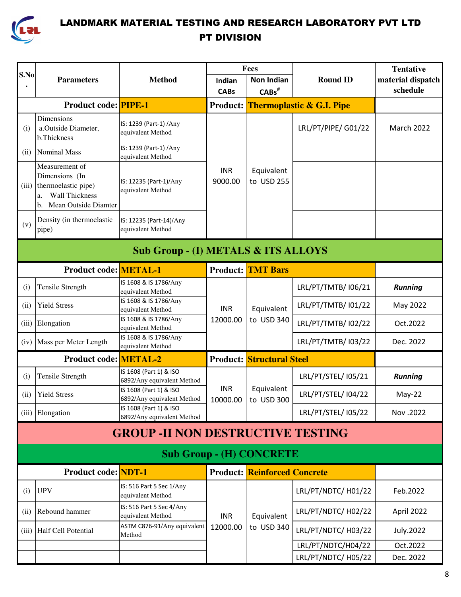

| S.No                                           |                                                                                                                      |                                                      | Fees                   |                                     |                                      | <b>Tentative</b>              |  |  |
|------------------------------------------------|----------------------------------------------------------------------------------------------------------------------|------------------------------------------------------|------------------------|-------------------------------------|--------------------------------------|-------------------------------|--|--|
|                                                | <b>Parameters</b>                                                                                                    | <b>Method</b>                                        | Indian                 | <b>Non Indian</b>                   | <b>Round ID</b>                      | material dispatch<br>schedule |  |  |
|                                                |                                                                                                                      |                                                      | <b>CABs</b>            | $CABs^{\#}$                         |                                      |                               |  |  |
|                                                | <b>Product code: PIPE-1</b>                                                                                          |                                                      | <b>Product:</b>        |                                     | <b>Thermoplastic &amp; G.I. Pipe</b> |                               |  |  |
| (i)                                            | <b>Dimensions</b><br>a.Outside Diameter,<br>b.Thickness                                                              | IS: 1239 (Part-1) / Any<br>equivalent Method         |                        |                                     | LRL/PT/PIPE/ G01/22                  | March 2022                    |  |  |
| (ii)                                           | <b>Nominal Mass</b>                                                                                                  | IS: 1239 (Part-1) / Any<br>equivalent Method         |                        |                                     |                                      |                               |  |  |
| (iii)                                          | Measurement of<br>Dimensions (In<br>thermoelastic pipe)<br><b>Wall Thickness</b><br>a.<br>Mean Outside Diamter<br>b. | IS: 12235 (Part-1)/Any<br>equivalent Method          | <b>INR</b><br>9000.00  | Equivalent<br>to USD 255            |                                      |                               |  |  |
| (v)                                            | Density (in thermoelastic<br>pipe)                                                                                   | IS: 12235 (Part-14)/Any<br>equivalent Method         |                        |                                     |                                      |                               |  |  |
| <b>Sub Group - (I) METALS &amp; ITS ALLOYS</b> |                                                                                                                      |                                                      |                        |                                     |                                      |                               |  |  |
|                                                | <b>Product code: METAL-1</b>                                                                                         |                                                      | <b>Product:</b>        | <b>TMT Bars</b>                     |                                      |                               |  |  |
| (i)                                            | <b>Tensile Strength</b>                                                                                              | IS 1608 & IS 1786/Any<br>equivalent Method           |                        | Equivalent                          | LRL/PT/TMTB/ 106/21                  | <b>Running</b>                |  |  |
| (ii)                                           | <b>Yield Stress</b>                                                                                                  | IS 1608 & IS 1786/Any<br>equivalent Method           | <b>INR</b>             |                                     | LRL/PT/TMTB/ 101/22                  | May 2022                      |  |  |
| (iii)                                          | Elongation                                                                                                           | IS 1608 & IS 1786/Any<br>equivalent Method           | 12000.00               | to USD 340                          | LRL/PT/TMTB/ 102/22                  | Oct.2022                      |  |  |
| (iv)                                           | Mass per Meter Length                                                                                                | IS 1608 & IS 1786/Any<br>equivalent Method           |                        |                                     | LRL/PT/TMTB/ 103/22                  | Dec. 2022                     |  |  |
|                                                | <b>Product code: METAL-2</b>                                                                                         |                                                      |                        | <b>Product: Structural Steel</b>    |                                      |                               |  |  |
| (i)                                            | <b>Tensile Strength</b>                                                                                              | IS 1608 (Part 1) & ISO<br>6892/Any equivalent Method |                        |                                     | LRL/PT/STEL/ 105/21                  | <b>Running</b>                |  |  |
|                                                | (ii) Yield Stress                                                                                                    | IS 1608 (Part 1) & ISO<br>6892/Any equivalent Method | <b>INR</b><br>10000.00 | Equivalent<br>to USD 300            | LRL/PT/STEL/ 104/22                  | $May-22$                      |  |  |
|                                                | (iii) Elongation                                                                                                     | IS 1608 (Part 1) & ISO<br>6892/Any equivalent Method |                        |                                     | LRL/PT/STEL/ 105/22                  | Nov.2022                      |  |  |
|                                                |                                                                                                                      | <b>GROUP - II NON DESTRUCTIVE TESTING</b>            |                        |                                     |                                      |                               |  |  |
|                                                |                                                                                                                      |                                                      |                        | <b>Sub Group - (H) CONCRETE</b>     |                                      |                               |  |  |
|                                                | <b>Product code: NDT-1</b>                                                                                           |                                                      |                        | <b>Product: Reinforced Concrete</b> |                                      |                               |  |  |
| (i)                                            | <b>UPV</b>                                                                                                           | IS: 516 Part 5 Sec 1/Any<br>equivalent Method        |                        |                                     | LRL/PT/NDTC/ H01/22                  | Feb.2022                      |  |  |
| (ii)                                           | Rebound hammer                                                                                                       | IS: 516 Part 5 Sec 4/Any<br>equivalent Method        | <b>INR</b>             | Equivalent                          | LRL/PT/NDTC/ H02/22                  | April 2022                    |  |  |
|                                                | (iii) Half Cell Potential                                                                                            | ASTM C876-91/Any equivalent<br>Method                | 12000.00               | to USD 340                          | LRL/PT/NDTC/ H03/22                  | <b>July.2022</b>              |  |  |
|                                                |                                                                                                                      |                                                      |                        |                                     | LRL/PT/NDTC/H04/22                   | Oct.2022                      |  |  |
|                                                |                                                                                                                      |                                                      |                        |                                     | LRL/PT/NDTC/ H05/22                  | Dec. 2022                     |  |  |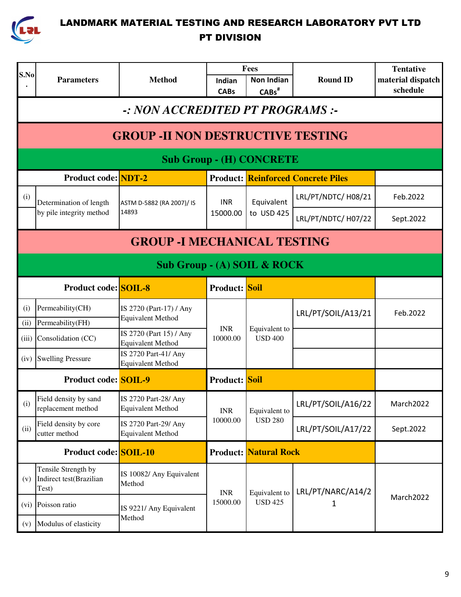

| S.No        |                                                                         |                                                     |                        | Fees                                   |                     | <b>Tentative</b>              |  |  |  |  |
|-------------|-------------------------------------------------------------------------|-----------------------------------------------------|------------------------|----------------------------------------|---------------------|-------------------------------|--|--|--|--|
|             | <b>Parameters</b>                                                       | <b>Method</b>                                       | Indian<br><b>CABs</b>  | <b>Non Indian</b><br>CABs <sup>#</sup> | <b>Round ID</b>     | material dispatch<br>schedule |  |  |  |  |
|             | -: NON ACCREDITED PT PROGRAMS :-                                        |                                                     |                        |                                        |                     |                               |  |  |  |  |
|             |                                                                         | <b>GROUP - II NON DESTRUCTIVE TESTING</b>           |                        |                                        |                     |                               |  |  |  |  |
|             |                                                                         |                                                     |                        | <b>Sub Group - (H) CONCRETE</b>        |                     |                               |  |  |  |  |
|             | <b>Product code: NDT-2</b><br><b>Product: Reinforced Concrete Piles</b> |                                                     |                        |                                        |                     |                               |  |  |  |  |
| (i)         | Determination of length                                                 | ASTM D-5882 (RA 2007)/ IS                           | <b>INR</b>             | Equivalent                             | LRL/PT/NDTC/ H08/21 | Feb.2022                      |  |  |  |  |
|             | by pile integrity method                                                | 14893                                               | 15000.00               | to USD 425                             | LRL/PT/NDTC/ H07/22 | Sept.2022                     |  |  |  |  |
|             | <b>GROUP - I MECHANICAL TESTING</b>                                     |                                                     |                        |                                        |                     |                               |  |  |  |  |
|             | Sub Group - (A) SOIL & ROCK                                             |                                                     |                        |                                        |                     |                               |  |  |  |  |
|             | <b>Product code: SOIL-8</b>                                             |                                                     | <b>Product:</b> Soil   |                                        |                     |                               |  |  |  |  |
| (i)<br>(ii) | Permeability(CH)<br>Permeability(FH)                                    | IS 2720 (Part-17) / Any<br><b>Equivalent Method</b> |                        | Equivalent to<br><b>USD 400</b>        | LRL/PT/SOIL/A13/21  | Feb.2022                      |  |  |  |  |
| (iii)       | Consolidation (CC)                                                      | IS 2720 (Part 15) / Any<br><b>Equivalent Method</b> | <b>INR</b><br>10000.00 |                                        |                     |                               |  |  |  |  |
| (iv)        | <b>Swelling Pressure</b>                                                | IS 2720 Part-41/ Any<br><b>Equivalent Method</b>    |                        |                                        |                     |                               |  |  |  |  |
|             | <b>Product code: SOIL-9</b>                                             |                                                     | <b>Product:</b> Soil   |                                        |                     |                               |  |  |  |  |
| (i)         | Field density by sand<br>replacement method                             | IS 2720 Part-28/ Any<br><b>Equivalent Method</b>    | <b>INR</b>             | Equivalent to                          | LRL/PT/SOIL/A16/22  | March2022                     |  |  |  |  |
| (ii)        | Field density by core<br>cutter method                                  | IS 2720 Part-29/ Any<br><b>Equivalent Method</b>    | 10000.00               | <b>USD 280</b>                         | LRL/PT/SOIL/A17/22  | Sept.2022                     |  |  |  |  |
|             | <b>Product code: SOIL-10</b>                                            |                                                     |                        | <b>Product: Natural Rock</b>           |                     |                               |  |  |  |  |
| (v)         | Tensile Strength by<br>Indirect test(Brazilian<br>Test)                 | IS 10082/ Any Equivalent<br>Method                  | <b>INR</b>             | Equivalent to                          | LRL/PT/NARC/A14/2   |                               |  |  |  |  |
| (vi)        | Poisson ratio                                                           | IS 9221/ Any Equivalent                             | 15000.00               | <b>USD 425</b>                         | 1                   | March2022                     |  |  |  |  |
| (v)         | Modulus of elasticity                                                   | Method                                              |                        |                                        |                     |                               |  |  |  |  |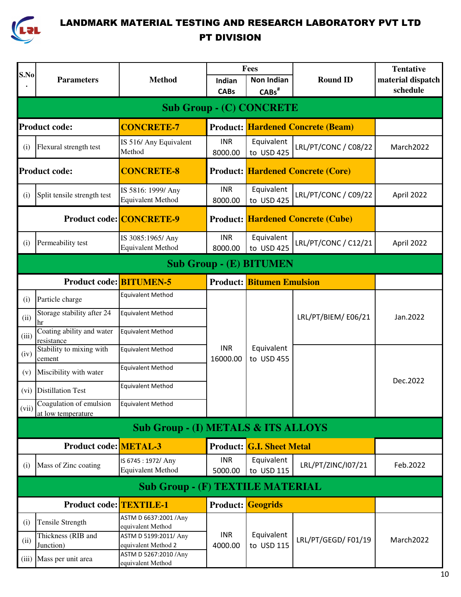

|       |                                               |                                                | Fees                   |                                  |                                          | <b>Tentative</b>  |  |  |  |  |
|-------|-----------------------------------------------|------------------------------------------------|------------------------|----------------------------------|------------------------------------------|-------------------|--|--|--|--|
| S.No  | <b>Parameters</b>                             | <b>Method</b>                                  | Indian                 | <b>Non Indian</b>                | <b>Round ID</b>                          | material dispatch |  |  |  |  |
|       |                                               |                                                | <b>CABs</b>            | $CABs^{\#}$                      |                                          | schedule          |  |  |  |  |
|       |                                               |                                                |                        | <b>Sub Group - (C) CONCRETE</b>  |                                          |                   |  |  |  |  |
|       | <b>Product code:</b>                          | <b>CONCRETE-7</b>                              |                        |                                  | <b>Product: Hardened Concrete (Beam)</b> |                   |  |  |  |  |
| (i)   | Flexural strength test                        | IS 516/ Any Equivalent<br>Method               | <b>INR</b><br>8000.00  | Equivalent<br>to USD 425         | LRL/PT/CONC / C08/22                     | March2022         |  |  |  |  |
|       | <b>Product code:</b>                          | <b>CONCRETE-8</b>                              |                        |                                  | <b>Product: Hardened Concrete (Core)</b> |                   |  |  |  |  |
| (i)   | Split tensile strength test                   | IS 5816: 1999/ Any<br><b>Equivalent Method</b> | <b>INR</b><br>8000.00  | Equivalent<br>to USD 425         | LRL/PT/CONC / C09/22                     | April 2022        |  |  |  |  |
|       |                                               | <b>Product code: CONCRETE-9</b>                |                        |                                  | <b>Product: Hardened Concrete (Cube)</b> |                   |  |  |  |  |
| (i)   | Permeability test                             | IS 3085:1965/ Any<br><b>Equivalent Method</b>  | <b>INR</b><br>8000.00  | Equivalent<br>to USD 425         | LRL/PT/CONC / C12/21                     | April 2022        |  |  |  |  |
|       | <b>Sub Group - (E) BITUMEN</b>                |                                                |                        |                                  |                                          |                   |  |  |  |  |
|       | <b>Product code: BITUMEN-5</b>                |                                                |                        | <b>Product: Bitumen Emulsion</b> |                                          |                   |  |  |  |  |
| (i)   | Particle charge                               | <b>Equivalent Method</b>                       |                        |                                  |                                          |                   |  |  |  |  |
| (ii)  | Storage stability after 24<br>hr              | <b>Equivalent Method</b>                       |                        |                                  | LRL/PT/BIEM/E06/21                       | Jan.2022          |  |  |  |  |
| (iii) | Coating ability and water<br>resistance       | <b>Equivalent Method</b>                       |                        |                                  |                                          |                   |  |  |  |  |
| (iv)  | Stability to mixing with<br>cement            | <b>Equivalent Method</b>                       | <b>INR</b><br>16000.00 | Equivalent<br>to USD 455         |                                          |                   |  |  |  |  |
| (v)   | Miscibility with water                        | <b>Equivalent Method</b>                       |                        |                                  |                                          | Dec.2022          |  |  |  |  |
| (vi)  | <b>Distillation Test</b>                      | <b>Equivalent Method</b>                       |                        |                                  |                                          |                   |  |  |  |  |
| (vii) | Coagulation of emulsion<br>at low temperature | <b>Equivalent Method</b>                       |                        |                                  |                                          |                   |  |  |  |  |
|       |                                               | <b>Sub Group - (I) METALS &amp; ITS ALLOYS</b> |                        |                                  |                                          |                   |  |  |  |  |
|       | <b>Product code: METAL-3</b>                  |                                                |                        | <b>Product: G.I. Sheet Metal</b> |                                          |                   |  |  |  |  |
| (i)   | Mass of Zinc coating                          | IS 6745: 1972/ Any<br><b>Equivalent Method</b> | <b>INR</b><br>5000.00  | Equivalent<br>to USD 115         | LRL/PT/ZINC/I07/21                       | Feb.2022          |  |  |  |  |
|       |                                               | <b>Sub Group - (F) TEXTILE MATERIAL</b>        |                        |                                  |                                          |                   |  |  |  |  |
|       | <b>Product code: TEXTILE-1</b>                |                                                |                        | <b>Product:</b> Geogrids         |                                          |                   |  |  |  |  |
| (i)   | Tensile Strength                              | ASTM D 6637:2001 / Any<br>equivalent Method    |                        |                                  |                                          |                   |  |  |  |  |
| (ii)  | Thickness (RIB and<br>Junction)               | ASTM D 5199:2011/ Any<br>equivalent Method 2   | <b>INR</b><br>4000.00  | Equivalent<br>to USD 115         | LRL/PT/GEGD/F01/19                       | March2022         |  |  |  |  |
|       | (iii) Mass per unit area                      | ASTM D 5267:2010 / Any<br>equivalent Method    |                        |                                  |                                          |                   |  |  |  |  |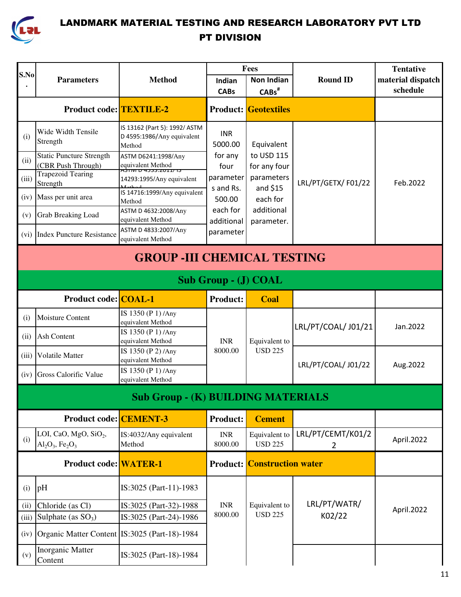

|       |                                                                                 |                                                                           |                        | Fees                               |                                     | <b>Tentative</b>  |  |  |  |  |
|-------|---------------------------------------------------------------------------------|---------------------------------------------------------------------------|------------------------|------------------------------------|-------------------------------------|-------------------|--|--|--|--|
| S.No  | <b>Parameters</b>                                                               | <b>Method</b>                                                             | Indian                 | <b>Non Indian</b>                  | <b>Round ID</b>                     | material dispatch |  |  |  |  |
|       |                                                                                 |                                                                           | <b>CABs</b>            | $CABs$ <sup>#</sup>                |                                     | schedule          |  |  |  |  |
|       | <b>Product code: TEXTILE-2</b>                                                  |                                                                           |                        | <b>Product:</b> Geotextiles        |                                     |                   |  |  |  |  |
| (i)   | Wide Width Tensile<br>Strength                                                  | IS 13162 (Part 5): 1992/ ASTM<br>D 4595:1986/Any equivalent<br>Method     | <b>INR</b><br>5000.00  | Equivalent                         |                                     |                   |  |  |  |  |
| (ii)  | <b>Static Puncture Strength</b><br>(CBR Push Through)                           | ASTM D6241:1998/Any<br>equivalent Method<br><u>כו /2011.ככבי ט ואוזלי</u> | for any<br>four        | to USD 115<br>for any four         |                                     |                   |  |  |  |  |
| (iii) | <b>Trapezoid Tearing</b><br>Strength                                            | 14293:1995/Any equivalent                                                 | parameter              | parameters                         | LRL/PT/GETX/F01/22                  | Feb.2022          |  |  |  |  |
| (iv)  | Mass per unit area                                                              | IS 14716:1999/Any equivalent<br>Method                                    | s and Rs.<br>500.00    | and $$15$<br>each for              |                                     |                   |  |  |  |  |
| (v)   | <b>Grab Breaking Load</b>                                                       | ASTM D 4632:2008/Any<br>equivalent Method                                 | each for<br>additional | additional<br>parameter.           |                                     |                   |  |  |  |  |
| (vi)  | <b>Index Puncture Resistance</b>                                                | ASTM D 4833:2007/Any<br>equivalent Method                                 | parameter              |                                    |                                     |                   |  |  |  |  |
|       | <b>GROUP - III CHEMICAL TESTING</b>                                             |                                                                           |                        |                                    |                                     |                   |  |  |  |  |
|       | Sub Group - (J) COAL                                                            |                                                                           |                        |                                    |                                     |                   |  |  |  |  |
|       | <b>Product code: COAL-1</b>                                                     |                                                                           | <b>Product:</b>        | <b>Coal</b>                        |                                     |                   |  |  |  |  |
| (i)   | <b>Moisture Content</b>                                                         | IS 1350 (P 1) /Any<br>equivalent Method                                   |                        |                                    | LRL/PT/COAL/ J01/21                 | Jan.2022          |  |  |  |  |
| (ii)  | Ash Content                                                                     | IS 1350 (P 1) /Any<br>equivalent Method                                   | <b>INR</b>             | Equivalent to                      |                                     |                   |  |  |  |  |
| (iii) | Volatile Matter                                                                 | IS 1350 (P 2) /Any<br>equivalent Method                                   | 8000.00                | <b>USD 225</b>                     | LRL/PT/COAL/ J01/22                 | Aug.2022          |  |  |  |  |
| (iv)  | <b>Gross Calorific Value</b>                                                    | IS 1350 (P 1) /Any<br>equivalent Method                                   |                        |                                    |                                     |                   |  |  |  |  |
|       |                                                                                 | <b>Sub Group - (K) BUILDING MATERIALS</b>                                 |                        |                                    |                                     |                   |  |  |  |  |
|       | <b>Product code: CEMENT-3</b>                                                   |                                                                           | <b>Product:</b>        | <b>Cement</b>                      |                                     |                   |  |  |  |  |
| (i)   | LOI, CaO, MgO, SiO <sub>2</sub> ,<br>$Al_2O_3$ , Fe <sub>2</sub> O <sub>3</sub> | IS:4032/Any equivalent<br>Method                                          | <b>INR</b><br>8000.00  | Equivalent to<br><b>USD 225</b>    | LRL/PT/CEMT/K01/2<br>$\overline{2}$ | April.2022        |  |  |  |  |
|       | <b>Product code: WATER-1</b>                                                    |                                                                           |                        | <b>Product: Construction water</b> |                                     |                   |  |  |  |  |
| (i)   | pH                                                                              | IS:3025 (Part-11)-1983                                                    |                        |                                    |                                     |                   |  |  |  |  |
| (ii)  | Chloride (as Cl)                                                                | IS:3025 (Part-32)-1988                                                    | <b>INR</b>             | Equivalent to                      | LRL/PT/WATR/                        | April.2022        |  |  |  |  |
| (iii) | Sulphate (as $SO_3$ )                                                           | IS:3025 (Part-24)-1986                                                    | 8000.00                | <b>USD 225</b>                     | K02/22                              |                   |  |  |  |  |
| (iv)  | Organic Matter Content IS:3025 (Part-18)-1984                                   |                                                                           |                        |                                    |                                     |                   |  |  |  |  |
| (v)   | <b>Inorganic Matter</b><br>Content                                              | IS:3025 (Part-18)-1984                                                    |                        |                                    |                                     |                   |  |  |  |  |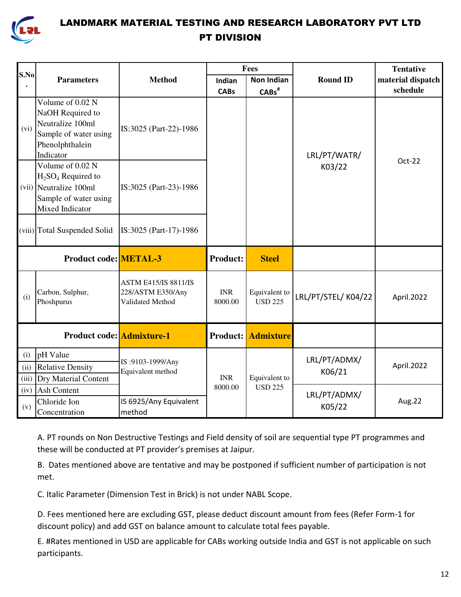

|       |                                                                                                                   |                                                                      |                       | Fees                            |                    | <b>Tentative</b>  |
|-------|-------------------------------------------------------------------------------------------------------------------|----------------------------------------------------------------------|-----------------------|---------------------------------|--------------------|-------------------|
| S.No  | <b>Parameters</b>                                                                                                 | <b>Method</b>                                                        | Indian                | <b>Non Indian</b>               | <b>Round ID</b>    | material dispatch |
|       |                                                                                                                   |                                                                      | <b>CABs</b>           | $CABs$ <sup>#</sup>             |                    | schedule          |
| (vi)  | Volume of 0.02 N<br>NaOH Required to<br>Neutralize 100ml<br>Sample of water using<br>Phenolphthalein<br>Indicator | IS:3025 (Part-22)-1986                                               |                       |                                 | LRL/PT/WATR/       |                   |
|       | Volume of 0.02 N<br>$H2SO4$ Required to<br>(vii) Neutralize 100ml<br>Sample of water using<br>Mixed Indicator     | IS:3025 (Part-23)-1986                                               |                       |                                 | K03/22             | Oct-22            |
|       | (viii) Total Suspended Solid                                                                                      | IS:3025 (Part-17)-1986                                               |                       |                                 |                    |                   |
|       | <b>Product code: METAL-3</b>                                                                                      |                                                                      | <b>Product:</b>       | <b>Steel</b>                    |                    |                   |
| (i)   | Carbon, Sulphur,<br>Phoshpurus                                                                                    | <b>ASTM E415/IS 8811/IS</b><br>228/ASTM E350/Any<br>Validated Method | <b>INR</b><br>8000.00 | Equivalent to<br><b>USD 225</b> | LRL/PT/STEL/K04/22 | April.2022        |
|       | <b>Product code:</b> Admixture-1                                                                                  |                                                                      |                       | <b>Product:</b> Admixture       |                    |                   |
| (i)   | pH Value                                                                                                          |                                                                      |                       |                                 | LRL/PT/ADMX/       |                   |
| (ii)  | <b>Relative Density</b>                                                                                           | IS:9103-1999/Any<br>Equivalent method                                |                       |                                 | K06/21             | April.2022        |
| (iii) | <b>Dry Material Content</b>                                                                                       |                                                                      | <b>INR</b>            | Equivalent to                   |                    |                   |
| (iv)  | <b>Ash Content</b>                                                                                                |                                                                      | 8000.00               | <b>USD 225</b>                  | LRL/PT/ADMX/       |                   |
| (v)   | Chloride Ion<br>Concentration                                                                                     | IS 6925/Any Equivalent<br>method                                     |                       |                                 | K05/22             | Aug.22            |

A. PT rounds on Non Destructive Testings and Field density of soil are sequential type PT programmes and these will be conducted at PT provider's premises at Jaipur.

B. Dates mentioned above are tentative and may be postponed if sufficient number of participation is not met.

C. Italic Parameter (Dimension Test in Brick) is not under NABL Scope.

D. Fees mentioned here are excluding GST, please deduct discount amount from fees (Refer Form-1 for discount policy) and add GST on balance amount to calculate total fees payable.

E. #Rates mentioned in USD are applicable for CABs working outside India and GST is not applicable on such participants.